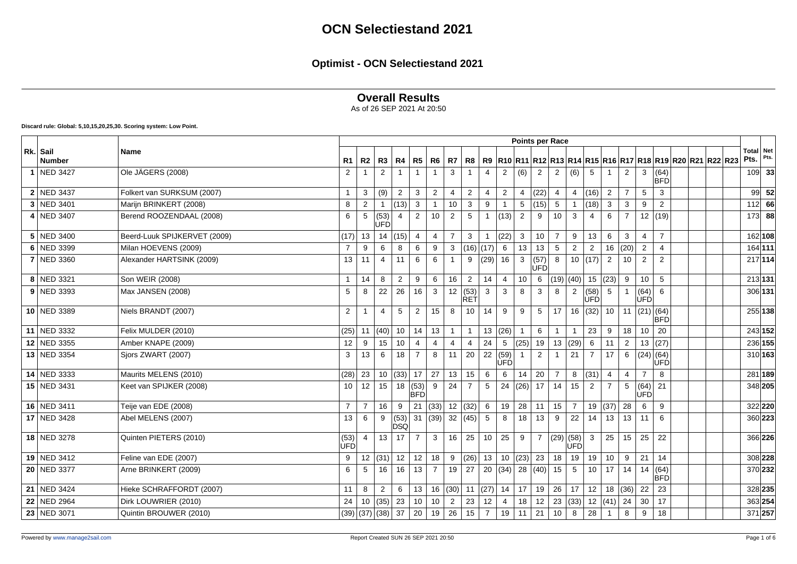## **Overall Results**

As of 26 SEP 2021 At 20:50

**Discard rule: Global: 5,10,15,20,25,30. Scoring system: Low Point.**

|                           |                              |                    |                |                      |                 |                       |                |                |                |                |                                                   | <b>Points per Race</b>  |                    |                 |                |                 |                        |                |                 |                         |                                                                      |  |               |             |
|---------------------------|------------------------------|--------------------|----------------|----------------------|-----------------|-----------------------|----------------|----------------|----------------|----------------|---------------------------------------------------|-------------------------|--------------------|-----------------|----------------|-----------------|------------------------|----------------|-----------------|-------------------------|----------------------------------------------------------------------|--|---------------|-------------|
| Rk. Sail<br><b>Number</b> | Name                         | R1                 | <b>R2</b>      | R3                   | R4              | R5 R6                 |                | R7             | R <sub>8</sub> | R9             |                                                   |                         |                    |                 |                |                 |                        |                |                 |                         | R10  R11  R12  R13  R14  R15  R16  R17  R18  R19  R20  R21  R22  R23 |  | Total<br>Pts. | Net<br>Pts. |
| 1 NED 3427                | Ole JÄGERS (2008)            | $\overline{2}$     |                | $\overline{2}$       |                 |                       | $\mathbf{1}$   | 3              |                | $\overline{4}$ | $\overline{2}$                                    | (6)                     | $\overline{2}$     | 2               | (6)            | $5\overline{5}$ |                        | 2              | 3               | $64$<br>BFD             |                                                                      |  |               | $109$ 33    |
| 2 NED 3437                | Folkert van SURKSUM (2007)   | 1                  | 3              | (9)                  | $\overline{2}$  | 3                     | $\overline{2}$ | $\overline{4}$ | 2              | $\overline{4}$ | 2                                                 | $\overline{4}$          | (22)               | $\overline{4}$  | $\overline{4}$ | (16)            | 2                      | $\overline{7}$ | 5               | 3                       |                                                                      |  | 99            | 52          |
| 3 NED 3401                | Marijn BRINKERT (2008)       | 8                  | $\overline{2}$ |                      | (13)            | 3                     | $\mathbf{1}$   | 10             | $\mathbf{3}$   | 9              |                                                   | $\sqrt{5}$              | (15)               | $5\phantom{.0}$ | $\overline{1}$ | (18)            | $\mathbf{3}$           | $\mathbf{3}$   | 9               | $\overline{2}$          |                                                                      |  | $112$ 66      |             |
| 4 NED 3407                | Berend ROOZENDAAL (2008)     | 6                  | 5              | (53)<br><b>ÚFD</b>   | $\overline{4}$  | $\overline{2}$        | 10             | 2              | 5              | $\overline{1}$ | (13)                                              | $\overline{2}$          | 9                  | 10              | $\mathbf{3}$   | $\overline{4}$  | 6                      | $\overline{7}$ |                 | 12   (19)               |                                                                      |  | $173$ 88      |             |
| 5 NED 3400                | Beerd-Luuk SPIJKERVET (2009) | (17)               | 13             | 14                   | (15)            | $\overline{4}$        | $\overline{4}$ | $\overline{7}$ | 3              | $\overline{1}$ | (22)                                              | $\mathbf{3}$            | 10                 | $\overline{7}$  | 9              | 13              | 6                      | 3              | $\overline{4}$  | $\overline{7}$          |                                                                      |  |               | 162 108     |
| 6 NED 3399                | Milan HOEVENS (2009)         |                    | 9              | 6                    | 8               | 6                     | 9              | 3              | $(16)$ (17)    |                | 6                                                 | 13                      | 13                 | 5               | $\overline{2}$ | $\overline{2}$  | 16                     | (20)           | $\overline{2}$  | 4                       |                                                                      |  | 164   111     |             |
| 7 NED 3360                | Alexander HARTSINK (2009)    | 13                 | 11             | $\overline{4}$       | 11              | 6                     | 6              | $\overline{1}$ | 9              | (29)           | 16                                                | 3                       | (57)<br><b>ÚFD</b> | 8               |                | 10  (17)  2     |                        | 10             | $\overline{2}$  | 2                       |                                                                      |  | 217 114       |             |
| 8 NED 3321                | Son WEIR (2008)              | 1                  | 14             | 8                    | $\overline{2}$  | 9                     | 6              | 16             | $\overline{2}$ | 14             | $\overline{4}$                                    | 10 <sub>1</sub>         | 6                  |                 | $(19)$ (40)    |                 | 15   (23)              | 9              | 10              | 5                       |                                                                      |  | 213 131       |             |
| $9$ NED 3393              | Max JANSEN (2008)            | 5                  | 8              | 22                   | 26              | 16                    | 3              | 12             | (53)<br>RET    | 3              | 3                                                 | 8                       | 3                  | 8               | 2              | (58)<br>ÚFD     | $5\phantom{.0}$        | $\overline{1}$ | (64)<br>ÙFD     | 6                       |                                                                      |  | 306 131       |             |
| 10 NED 3389               | Niels BRANDT (2007)          | 2                  |                | $\overline{4}$       | 5               | $\overline{2}$        | 15             | 8              | 10             | 14             | 9                                                 | 9                       | 5                  | 17              | 16             | $(32)$ 10       |                        | 11             | (21) (64)       | <b>BFD</b>              |                                                                      |  |               | 255 138     |
| 11 NED 3332               | Felix MULDER (2010)          | (25)               | 11             | (40)                 | 10              | 14                    | 13             | $\mathbf{1}$   | $\mathbf 1$    | 13             | (26)                                              | $\mathbf{1}$            | 6                  | $\mathbf{1}$    | $\overline{1}$ | 23              | 9                      | 18             | 10 <sup>1</sup> | 20                      |                                                                      |  |               | 243 152     |
| 12 NED 3355               | Amber KNAPE (2009)           | 12                 | 9              | 15                   | 10 <sup>°</sup> | $\overline{4}$        | $\overline{4}$ | $\overline{4}$ | 4              | 24             | $5\phantom{.0}$                                   | (25)                    |                    | 19   13   (29)  |                |                 | $6 \mid 11$            | 2              |                 | 13   (27)               |                                                                      |  |               | 236 155     |
| 13 NED 3354               | Sjors ZWART (2007)           | 3                  | 13             | 6                    | 18              | $\overline{7}$        | 8              | 11             | 20             | 22             | (59)<br>UFD                                       |                         | $\overline{2}$     | $\mathbf{1}$    | 21             | $\overline{7}$  | 17                     | $\,6\,$        |                 | $(24)$ (64)<br>lùFĎl    |                                                                      |  |               | 310 163     |
| 14 NED 3333               | Maurits MELENS (2010)        | (28)               | 23             | 10                   | (33)            | 17                    | 27             | 13             | 15             | 6              | 6                                                 | 14                      | 20                 | $\overline{7}$  | 8              | $(31)$ 4        |                        | $\overline{4}$ | $\overline{7}$  | 8                       |                                                                      |  |               | 281 189     |
| 15 NED 3431               | Keet van SPIJKER (2008)      | 10 <sup>°</sup>    | 12             | 15                   | 18              | (53)  9<br><b>BFD</b> |                | 24             | $\overline{7}$ | 5              | 24                                                | (26)                    | 17                 | 14              | 15             | 2               | $\overline{7}$         | 5              | (64)<br>ÚFĎ     | 21                      |                                                                      |  |               | 348 205     |
| 16 NED 3411               | Teije van EDE (2008)         | $\overline{7}$     | $\overline{7}$ | 16                   | 9               |                       | 21   (33)      |                | 12  (32)       | 6              | 19                                                | 28                      | 11                 | 15              | $\overline{7}$ |                 | 19   (37)              | 28             | 6               | 9                       |                                                                      |  |               | 322 220     |
| 17 NED 3428               | Abel MELENS (2007)           | 13                 | 6              | 9                    | (53)<br>DSQ     |                       | 31   (39)      |                | 32   (45)      | 5              | 8                                                 | 18                      | 13                 | 9               | 22             | 14              | 13                     | 13             | 11              | 6                       |                                                                      |  |               | 360 223     |
| 18 NED 3278               | Quinten PIETERS (2010)       | (53)<br><b>UFD</b> | $\overline{4}$ | 13                   | 17              | $\overline{7}$        | $\mathbf{3}$   | 16             | 25             | 10             | 25                                                | 9                       | $\overline{7}$     | (29)(58)        | <b>UFD</b>     | 3 <sup>1</sup>  | 25                     | 15             | 25              | 22                      |                                                                      |  |               | 366 226     |
| 19 NED 3412               | Feline van EDE (2007)        | 9                  | 12             | $\vert$ (31) $\vert$ | 12              | 12                    | 18             | 9              | (26)           | 13             | 10                                                | (23)                    | 23                 | 18              | 19             | 19              | 10                     | 9              | 21              | 14                      |                                                                      |  |               | 308 228     |
| 20 NED 3377               | Arne BRINKERT (2009)         | 6                  | 5              | 16                   | 16              | 13                    | $\overline{7}$ | 19             | 27             | 20             |                                                   | $ (34) $ 28 $ (40) $ 15 |                    |                 | 5              | 10 <sup>1</sup> | 17                     | 14             |                 | 14   (64)<br><b>BFD</b> |                                                                      |  |               | 370 232     |
| 21 NED 3424               | Hieke SCHRAFFORDT (2007)     | 11                 | 8              | 2                    | 6               | 13                    | 16             |                |                |                | $\left  (30) \right $ 11 $\left  (27) \right $ 14 | 17                      |                    | 19 26           | 17             |                 | $12 \mid 18 \mid (36)$ |                | 22              | 23                      |                                                                      |  |               | 328 235     |
| 22 NED 2964               | Dirk LOUWRIER (2010)         | 24                 | 10             | (35)                 | 23              | 10                    | 10             | $\overline{2}$ | 23             | 12             | 4                                                 | 18                      | 12                 | 23              | (33)           |                 | 12   (41)              | 24             | 30              | 17                      |                                                                      |  | 363 254       |             |
| 23 NED 3071               | Quintin BROUWER (2010)       |                    | (39)(37)(38)37 |                      |                 |                       | 20 19          | 26             | 15             | $\overline{7}$ | 19                                                | 11                      | 21                 | 10              | 8              | 28              | $\overline{1}$         | 8              | 9               | 18                      |                                                                      |  |               | 371 257     |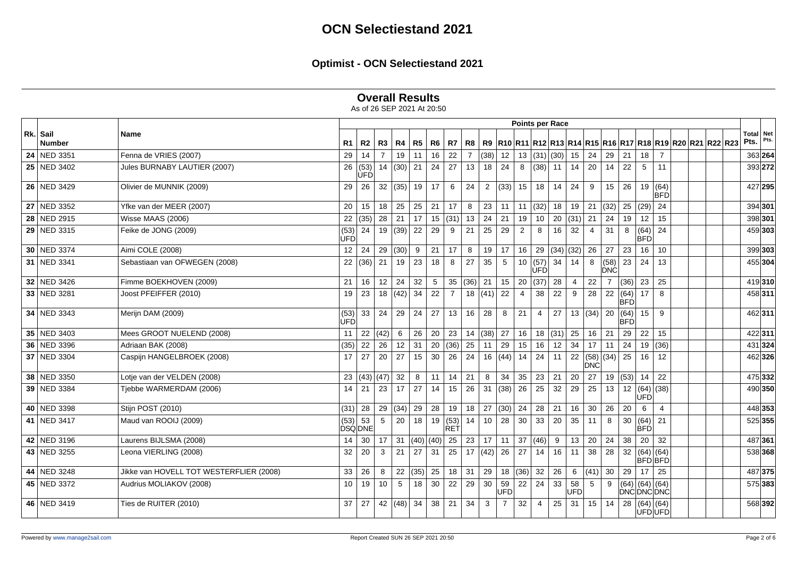|  | <b>Overall Results</b> |  |
|--|------------------------|--|
|--|------------------------|--|

|                           |                                         |                 |                     |                |           |      |                |                    |                |                |                | Points per Race |                |                 |                |                         |                |                    |                    |                             |                                                            |                   |         |
|---------------------------|-----------------------------------------|-----------------|---------------------|----------------|-----------|------|----------------|--------------------|----------------|----------------|----------------|-----------------|----------------|-----------------|----------------|-------------------------|----------------|--------------------|--------------------|-----------------------------|------------------------------------------------------------|-------------------|---------|
| Rk. Sail<br><b>Number</b> | <b>Name</b>                             | R1              | R <sub>2</sub>      | R3             | R4        | R5   | R <sub>6</sub> | R7                 | R8             |                |                |                 |                |                 |                |                         |                |                    |                    |                             | R9 R10 R11 R12 R13 R14 R15 R16 R17 R18 R19 R20 R21 R22 R23 | Total Net<br>Pts. | Pts.    |
| 24 NED 3351               | Fenna de VRIES (2007)                   | 29              | 14                  | $\overline{7}$ | 19        | 11   | 16             | 22                 | $\overline{7}$ | (38)           | 12             | 13              |                | $(31)$ (30)     | 15             | 24                      | 29             | 21                 | 18                 | $\overline{7}$              |                                                            |                   | 363 264 |
| 25 NED 3402               | Jules BURNABY LAUTIER (2007)            | 26              | (53)<br>ÙFD         | 14             | (30)      | 21   | 24             | 27                 | 13             | 18             | 24             | 8               |                | $(38)$ 11       | 14             | 20                      | 14             | 22                 | 5 <sup>5</sup>     | 11                          |                                                            |                   | 393 272 |
| 26 NED 3429               | Olivier de MUNNIK (2009)                | 29              | 26                  | 32             | (35)      | 19   | 17             | 6                  | 24             | $\overline{2}$ | (33)           | 15              | 18             | 14              | 24             | 9                       | 15             | 26                 |                    | 19   (64)<br><b>BFD</b>     |                                                            |                   | 427 295 |
| $\overline{27}$ NED 3352  | Yfke van der MEER (2007)                | 20              | 15                  | 18             | 25        | 25   | 21             | 17                 | 8              | 23             | 11             | 11              |                | (32) 18         | 19             |                         | 21  (32)       | 25                 | (29)               | 24                          |                                                            |                   | 394 301 |
| 28 NED 2915               | Wisse MAAS (2006)                       | 22              | (35)                | 28             | 21        | 17   | 15             | (31)               | 13             | 24             | 21             | 19              | 10             | 20              | (31)           | 21                      | 24             | 19                 | 12                 | 15                          |                                                            |                   | 398 301 |
| 29 NED 3315               | Feike de JONG (2009)                    | (53)<br>UFD     | 24                  | 19             | (39)      | 22   | 29             | 9                  | 21             | 25             | 29             | $\overline{2}$  | 8              | 16              | 32             | $\overline{4}$          | 31             | 8                  | (64)<br><b>BFD</b> | 24                          |                                                            |                   | 459 303 |
| 30 NED 3374               | Aimi COLE (2008)                        | 12 <sup>2</sup> | 24                  | 29             | (30)      | 9    | 21             | 17                 | 8              | 19             | 17             | 16              |                | 29 $ (34)$ (32) |                | 26                      | $\vert$ 27     | 23                 | 16                 | 10                          |                                                            |                   | 399 303 |
| 31 NED 3341               | Sebastiaan van OFWEGEN (2008)           |                 | 22   (36)           | $\vert$ 21     | 19        | 23   | 18             | 8                  | 27             | 35             | 5              | 10 <sup>1</sup> | (57)<br>ÙFD    | 34              | 14             | 8                       | (58)<br>∣ÒNĆ   | 23                 | 24                 | 13                          |                                                            |                   | 455 304 |
| 32 NED 3426               | Fimme BOEKHOVEN (2009)                  | 21              | 16                  | 12             | 24        | 32   | $\sqrt{5}$     | 35                 | (36)           | 21             | 15             | 20              | (37)           | 28              | $\overline{4}$ | $22\,$                  | $\overline{7}$ | (36)               | 23                 | 25                          |                                                            |                   | 419 310 |
| 33 NED 3281               | Joost PFEIFFER (2010)                   | 19              | 23                  | 18             | (42)      | 34   | 22             | $\overline{7}$     |                | 18   (41)      | 22             | $\overline{4}$  | 38             | 22              | 9              | 28                      | 22             | (64)<br><b>BFD</b> | 17                 | 8                           |                                                            |                   | 458 311 |
| 34 NED 3343               | Merijn DAM (2009)                       | (53)<br>UFD     | 33                  | 24             | 29        | 24   | 27             | 13                 | 16             | 28             | 8              | 21              | $\overline{4}$ | 27              |                | 13  (34)  20            |                | (64)<br><b>BFD</b> | 15                 | 9                           |                                                            |                   | 462 311 |
| 35 NED 3403               | Mees GROOT NUELEND (2008)               | 11              | 22                  | (42)           | 6         | 26   | 20             | 23                 |                | 14   (38)      | 27             | 16              |                | 18  (31)  25    |                | $16$ 21                 |                | 29                 | 22                 | 15                          |                                                            |                   | 422 311 |
| 36 NED 3396               | Adriaan BAK (2008)                      | (35)            | 22                  | 26             | 12        | 31   | 20             | (36)               | 25             | 11             | 29             | 15              | 16             | 12              | 34             | $17$ 11                 |                | 24                 |                    | 19   (36)                   |                                                            |                   | 431 324 |
| 37 NED 3304               | Caspijn HANGELBROEK (2008)              | 17              | 27                  | 20             | 27        | 15   | 30             | 26                 | 24             | 16             | (44)           | 14              | 24             | 11              | 22             | (58) (34)<br><b>DNC</b> |                | 25                 | 16                 | 12                          |                                                            |                   | 462 326 |
| 38 NED 3350               | Lotje van der VELDEN (2008)             |                 | 23 $ (43) (47) $    |                | 32        | 8    | 11             | 14                 | 21             | 8              | 34             | 35              | 23             | 21              | 20             | 27                      | 19             | (53)               | 14                 | 22                          |                                                            |                   | 475 332 |
| 39 NED 3384               | Tjebbe WARMERDAM (2006)                 | 14              | 21                  | 23             | 17        | 27   | 14             | 15                 | 26             | 31             | (38)           | 26              | 25             | 32              | 29             | 25                      | 13             | 12                 | ÙFD                | (64) (38)                   |                                                            |                   | 490 350 |
| 40 NED 3398               | Stijn POST (2010)                       | (31)            | 28                  | 29             | (34)      | 29   | 28             | 19                 | 18             | 27             | (30)           | 24              | 28             | 21              | 16             | 30                      | 26             | 20                 | 6                  | 4                           |                                                            |                   | 448 353 |
| 41 NED 3417               | Maud van ROOIJ (2009)                   | (53)            | 53<br><b>DSQDNE</b> | 5              | 20        | 18   | 19             | (53)<br><b>RET</b> | 14             | 10             | 28             | 30              | 33             | 20              | 35             | 11                      | 8              | 30                 | (64)<br><b>BFD</b> | 21                          |                                                            |                   | 525 355 |
| 42 NED 3196               | Laurens BIJLSMA (2008)                  | 14              | 30                  | 17             | 31        |      | $(40)$ (40)    | 25                 | 23             | 17             | 11             | 37              | (46)           | 9               | 13             | 20                      | 24             | 38                 | 20                 | 32                          |                                                            |                   | 487 361 |
| 43 NED 3255               | Leona VIERLING (2008)                   | 32              | 20                  | 3              | 21        | 27   | 31             | 25                 |                | 17 $ (42) $    | 26             | 27              | 14             | 16              | 11             | 38                      | 28             | 32                 |                    | (64) (64)<br><b>BFD</b> BFD |                                                            |                   | 538 368 |
| 44 NED 3248               | Jikke van HOVELL TOT WESTERFLIER (2008) | 33              | 26                  | 8              | 22        | (35) | 25             | 18                 | 31             | 29             | 18             | (36)            | 32             | 26              | 6              | $(41)$ 30               |                | 29                 | 17                 | 25                          |                                                            |                   | 487 375 |
| 45 NED 3372               | Audrius MOLIAKOV (2008)                 | 10              | 19                  | 10             | 5         | 18   | 30             | 22                 | 29             | 30             | 59<br>UFD      | 22              | 24             | 33              | 58<br>UFD      | 5                       | 9              | DNCDNCDNC          | $(64)$ (64) (64)   |                             |                                                            |                   | 575 383 |
| 46 NED 3419               | Ties de RUITER (2010)                   | 37              | 27                  |                | 42 $(48)$ | 34   | 38             | 21                 | 34             | $\mathbf{3}$   | $\overline{7}$ | 32              | $\overline{4}$ | 25              | 31             |                         | $15 \mid 14$   | 28                 |                    | $(64)$ (64)<br>UFD UFD      |                                                            |                   | 568 392 |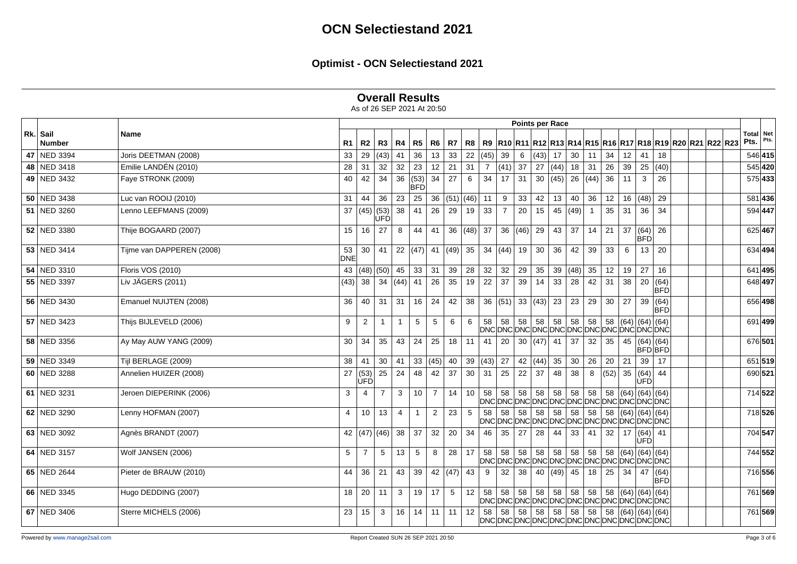**Overall Results**

|               |                           |                  |                    |                |                |                          |                |              |            |      |                 | <b>Points per Race</b>                      |                 |                  |      |              |              |      |                              |                         |                                                            |                     |         |
|---------------|---------------------------|------------------|--------------------|----------------|----------------|--------------------------|----------------|--------------|------------|------|-----------------|---------------------------------------------|-----------------|------------------|------|--------------|--------------|------|------------------------------|-------------------------|------------------------------------------------------------|---------------------|---------|
| Rk. Sail      | <b>Name</b>               |                  | R2                 | R3             | R4             | R5                       | R <sub>6</sub> | R7           |            |      |                 |                                             |                 |                  |      |              |              |      |                              |                         |                                                            | Total   Net<br>Pts. | Pts.    |
| <b>Number</b> |                           | R1               |                    |                |                |                          |                |              | R8         |      |                 |                                             |                 |                  |      |              |              |      |                              |                         | R9 R10 R11 R12 R13 R14 R15 R16 R17 R18 R19 R20 R21 R22 R23 |                     |         |
| 47 NED 3394   | Joris DEETMAN (2008)      | 33               | 29                 | (43)           | 41             | 36                       | 13             | 33           | 22         | (45) | 39              | 6                                           | $(43)$ 17       |                  | 30   | 11           | 34           | 12   | 41                           | 18                      |                                                            |                     | 546 415 |
| 48 NED 3418   | Emilie LANDÉN (2010)      | 28               | 31                 | 32             | 32             | 23                       | 12             | 21           | 31         | 7    | $(41)$ 37       |                                             | 27              | (44)             | 18   | 31           | 26           | 39   |                              | 25 (40)                 |                                                            |                     | 545 420 |
| 49 NED 3432   | Faye STRONK (2009)        | 40               | 42                 | 34             | 36             | (53)<br><b>BFD</b>       | 34             | 27           | 6          | 34   | 17              | 31                                          |                 | 30 (45) 26       |      | $(44)$ 36    |              | 11   | $\mathbf{3}$                 | 26                      |                                                            |                     | 575 433 |
| $50$ NED 3438 | Luc van ROOIJ (2010)      | 31               | 44                 | 36             | 23             | 25                       | 36             | $(51)$ (46)  |            | 11   | 9               | 33                                          | 42              | 13               | 40   | 36           | 12           | 16   | (48)                         | 29                      |                                                            |                     | 581 436 |
| 51 NED 3260   | Lenno LEEFMANS (2009)     | 37               | (45) (53)          | <b>ÚFD</b>     | 38             | 41                       | 26             | 29           | 19         | 33   | $\overline{7}$  | 20                                          | 15              | 45 (49)          |      |              | 35           | 31   | $\overline{36}$              | 34                      |                                                            |                     | 594 447 |
| 52 NED 3380   | Thije BOGAARD (2007)      | 15               | 16                 | 27             | 8              | 44                       | 41             |              | 36  (48)   | 37   |                 | 36  (46)                                    | 29              | $43 \mid$        | 37   | $14$ 21      |              | 37   | (64)<br><b>BFD</b>           | 26                      |                                                            |                     | 625 467 |
| 53 NED 3414   | Tijme van DAPPEREN (2008) | 53<br><b>DNE</b> | 30                 | 41             |                | 22 $ (47)$ 41 $ (49)$ 35 |                |              |            |      | 34  (44)  19    |                                             | 30 <sup>°</sup> | 36               | 42   | 39           | 33           | 6    | 13                           | 20                      |                                                            |                     | 634 494 |
| 54 NED 3310   | Floris VOS (2010)         |                  | 43 $ (48) (50) $   |                | 45             | $33 \mid 31$             |                | 39           | 28         | 32   | 32              | 29                                          | 35              | 39               | (48) |              | $35 \mid 12$ | 19   | 27                           | 16                      |                                                            |                     | 641 495 |
| 55 NED 3397   | Liv JÄGERS (2011)         | (43)             | 38                 | 34             | (44)           | 41                       | 26             | 35           | 19         | 22   | 37              | 39                                          | 14              | 33               | 28   | 42           | 31           | 38   |                              | 20 (64)<br><b>BFD</b>   |                                                            |                     | 648 497 |
| 56 NED 3430   | Emanuel NUIJTEN (2008)    | 36               | 40                 | 31             | 31             | 16                       | 24             | 42           | 38         |      |                 | 36  (51)  33  (43)  23                      |                 |                  | 23   | 29           | 30           | 27   |                              | 39   (64)<br><b>BFD</b> |                                                            |                     | 656 498 |
| 57 NED 3423   | Thijs BIJLEVELD (2006)    | 9                | 2                  |                | $\overline{1}$ | $5\overline{)}$          | 5              | 6            | 6          | 58   | 58              | 58<br>DNCDNCDNCDNCDNCDNCDNCDNCDNCDNCDNCDNCD | 58              | 58               | 58   | 58           | 58           |      | $(64)$ (64) (64)             |                         |                                                            |                     | 691 499 |
| 58 NED 3356   | Ay May AUW YANG (2009)    | 30               | 34                 | 35             | 43             | 24                       | 25             | 18           | $\vert$ 11 | 41   | 20 <sup>1</sup> |                                             |                 | 30 $ (47)$ 41 37 |      | 32           | 35           | 45   | (64) (64)<br>BFDBFD          |                         |                                                            |                     | 676 501 |
| 59 NED 3349   | Tijl BERLAGE (2009)       | 38               | 41                 | 30             | 41             |                          | 33   (45)      | 40           | 39         | (43) | $\sqrt{27}$     | 42 $(44)$                                   |                 | 35               | 30   | $26 \mid 20$ |              | 21   | 39                           | 17                      |                                                            |                     | 651 519 |
| 60 NED 3288   | Annelien HUIZER (2008)    | 27               | (53)<br><b>UFD</b> | 25             | 24             | 48                       | 42             | 37           | 30         | 31   | 25              | 22                                          | 37              | 48               | 38   | 8            | (52)         | 35   | (64)<br>lufdi                | 44                      |                                                            |                     | 690 521 |
| 61 NED 3231   | Jeroen DIEPERINK (2006)   | 3                | $\overline{4}$     | $\overline{7}$ | 3              | 10 <sup>1</sup>          | $\overline{7}$ | 14           | 10         | 58   | 58              | 58<br>DNCDNCDNCDNCDNCDNCDNCDNCDNCDNCDNCDNCD | 58              | 58               | 58   | 58           | 58           | (64) | (64) (64)                    |                         |                                                            |                     | 714 522 |
| 62 NED 3290   | Lenny HOFMAN (2007)       | 4                | 10                 | 13             | $\overline{4}$ | -1                       | $\overline{2}$ | 23           | 5          | 58   | 58              | 58<br>DNCDNCDNCDNCDNCDNCDNCDNCDNCDNCDNCDNCD | 58              | 58               | 58   | $58$ 58      |              |      | (64) (64) (64)               |                         |                                                            |                     | 718 526 |
| 63 NED 3092   | Agnès BRANDT (2007)       |                  | 42 $ (47)   (46) $ |                | 38             | 37                       | 32             | 20           | 34         | 46   | 35              | 27                                          | 28              | 44               | 33   | 41           | 32           | 17   | (64) 41<br>UFD.              |                         |                                                            |                     | 704 547 |
| 64 NED 3157   | Wolf JANSEN (2006)        | 5                | $\overline{7}$     | 5              | 13             | $5\overline{5}$          | 8              | 28           | 17         | 58   | 58              | 58<br>DNCDNCDNCDNCDNCDNCDNCDNCDNCDNCDNCDNCD | 58              | 58               | 58   |              |              |      | 58   58   (64)   (64)   (64) |                         |                                                            |                     | 744 552 |
| 65 NED 2644   | Pieter de BRAUW (2010)    | 44               | 36                 | 21             | 43             | 39                       |                | 42 $(47)$ 43 |            | 9    | 32              | 38                                          |                 | 40 $ (49)$ 45    |      | $18$ 25      |              | 34   |                              | 47 (64)<br><b>BFD</b>   |                                                            |                     | 716 556 |
| 66 NED 3345   | Hugo DEDDING (2007)       | 18               | 20                 | 11             | 3              | 19                       | 17             | 5            | 12         | 58   | 58              | 58<br>DNCDNCDNCDNCDNCDNCDNCDNCDNCDNCDNCDNCD | 58              | 58               | 58   | 58           | 58           | (64) | (64) (64)                    |                         |                                                            |                     | 761 569 |
| 67 NED 3406   | Sterre MICHELS (2006)     | 23               | 15                 | 3              | 16             |                          | $14$ 11        | 11           | 12         | 58   | 58              | 58<br>DNCDNCDNCDNCDNCDNCDNCDNCDNCDNCDNCDNCD | 58              | 58               | 58   |              |              |      | 58   58   (64)   (64)   (64) |                         |                                                            |                     | 761 569 |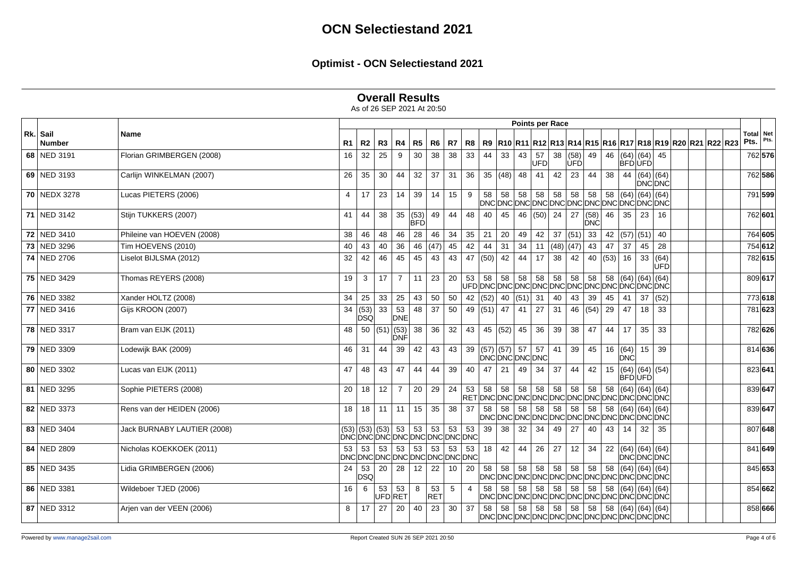## **Overall Results**

|                           |                             |    |                                              |    |                    |                    |                |    |                |              |                       | Points per Race |     |                         |      |                         |              |            |                                                                                                                                |      |                                                                          |  |                   |      |
|---------------------------|-----------------------------|----|----------------------------------------------|----|--------------------|--------------------|----------------|----|----------------|--------------|-----------------------|-----------------|-----|-------------------------|------|-------------------------|--------------|------------|--------------------------------------------------------------------------------------------------------------------------------|------|--------------------------------------------------------------------------|--|-------------------|------|
| Rk. Sail<br><b>Number</b> | Name                        | R1 | R2                                           | R3 | R4                 | R5                 | R <sub>6</sub> | R7 | <b>R8</b>      |              |                       |                 |     |                         |      |                         |              |            |                                                                                                                                |      | R9  R10  R11  R12  R13  R14  R15  R16  R17  R18  R19  R20  R21  R22  R23 |  | Total Net<br>Pts. | Pts. |
| 68 NED 3191               | Florian GRIMBERGEN (2008)   | 16 | 32                                           | 25 | 9                  | 30                 | 38             | 38 | 33             | 44           | 33                    | 43              | 57  | 38                      | (58) | 49                      | 46           |            | (64) (64)                                                                                                                      | 45   |                                                                          |  | 762 576           |      |
|                           |                             |    |                                              |    |                    |                    |                |    |                |              |                       |                 | UFD |                         | ÙFD  |                         |              |            | BFÓ ÙFÓ                                                                                                                        |      |                                                                          |  |                   |      |
| 69 NED 3193               | Carlijn WINKELMAN (2007)    | 26 | 35                                           | 30 | 44                 | 32                 | 37             | 31 | 36             |              | 35 (48) 48            |                 | 41  | 42                      | 23   | 44                      | 38           | 44         | $\sqrt{64}$ (64)<br>DNC DNC                                                                                                    |      |                                                                          |  | 762 586           |      |
| 70 NEDX 3278              | Lucas PIETERS (2006)        | 4  | 17                                           | 23 | 14                 | 39                 | 14             | 15 | 9              | 58           |                       | $58 \mid 58$    | 58  | 58                      | 58   | 58 58                   |              |            | (64) (64) (64)<br>DNCDNCDNCDNCDNCDNCDNCDNCDNCDNCDNCDNCD                                                                        |      |                                                                          |  | 791 599           |      |
| 71 NED 3142               | Stijn TUKKERS (2007)        | 41 | 44                                           | 38 | 35                 | (53)<br><b>BFD</b> | 49             | 44 | 48             | 40           | 45                    | 46              |     | $(50)$ 24               | 27   | (58)<br><b>DNC</b>      | 46           | 35         | 23                                                                                                                             | 16   |                                                                          |  | 762 601           |      |
| 72 NED 3410               | Phileine van HOEVEN (2008)  | 38 | 46                                           | 48 | 46                 | 28                 | 46             | 34 | 35             | 21           | 20                    | 49              | 42  | 37(51)                  |      |                         | $33 \mid 42$ |            | (57) (51)                                                                                                                      | 40   |                                                                          |  | 764 605           |      |
| 73 NED 3296               | Tim HOEVENS (2010)          | 40 | 43                                           | 40 | 36                 |                    | 46 (47)        | 45 | 42             | 44           | 31                    | 34              |     | 11 $ (48) (47) 43   47$ |      |                         |              | 37         | 45                                                                                                                             | 28   |                                                                          |  | 754 612           |      |
| 74 NED 2706               | Liselot BIJLSMA (2012)      | 32 | 42                                           | 46 | 45                 | 45                 | 43             | 43 | 47             | (50)         | 42                    | 44              | 17  | 38                      | 42   |                         | 40 $(53)$    | 16         | 33   (64)                                                                                                                      | UFD  |                                                                          |  | 782 615           |      |
| 75 NED 3429               | Thomas REYERS (2008)        | 19 | 3                                            | 17 | $\overline{7}$     | 11                 | 23             | 20 | 53             | 58           | 58                    | 58              | 58  | 58                      | 58   | 58                      | 58           |            | (64) (64) (64)                                                                                                                 |      |                                                                          |  | 809 617           |      |
| 76 NED 3382               | Xander HOLTZ (2008)         | 34 | 25                                           | 33 | 25                 | 43                 | 50             | 50 |                |              | 42 $ (52)$ 40 $ (51)$ |                 | 31  | 40                      | 43   | 39                      | 45           | 41         | 37                                                                                                                             | (52) |                                                                          |  | 773 618           |      |
| 77 NED 3416               | Gijs KROON (2007)           | 34 | (53)<br><b>DSQ</b>                           | 33 | 53<br><b>DNE</b>   | 48                 | 37             | 50 |                | 49 $(51)$ 47 |                       | 41              | 27  | 31                      | 46   | $\vert$ (54) $\vert$ 29 |              | 47         | 18                                                                                                                             | 33   |                                                                          |  | 781 623           |      |
| 78 NED 3317               | Bram van EIJK (2011)        | 48 | 50                                           |    | $(51)$ (53)<br>DNF | 38                 | 36             | 32 | 43             |              | 45 $ (52) $ 45        |                 | 36  | 39                      | 38   | 47                      | 44           | 17         | 35                                                                                                                             | 33   |                                                                          |  | 782 626           |      |
| 79 NED 3309               | Lodewijk BAK (2009)         | 46 | 31                                           | 44 | 39                 | 42                 | 43             | 43 |                |              | 39 $(57)$ (57) 57     | DNCDNCDNCDNC    | 57  | 41                      | 39   | 45                      |              | <b>DNC</b> | 16   (64)   15                                                                                                                 | 39   |                                                                          |  | 814 636           |      |
| 80 NED 3302               | Lucas van EIJK (2011)       | 47 | 48                                           | 43 | 47                 | 44                 | 44             | 39 | 40             | 47           | 21                    | 49              | 34  | 37                      | 44   | 42                      | 15           |            | (64) (64) (54)<br><b>BFDUFD</b>                                                                                                |      |                                                                          |  | 823 641           |      |
| 81 NED 3295               | Sophie PIETERS (2008)       | 20 | 18                                           | 12 | $\overline{7}$     | 20                 | 29             | 24 | 53             | 58           | 58                    | 58              | 58  | 58                      | 58   | 58                      | 58           |            | $(64)$ (64) (64)                                                                                                               |      |                                                                          |  | 839 647           |      |
| 82 NED 3373               | Rens van der HEIDEN (2006)  | 18 | 18                                           | 11 | 11                 | 15                 | 35             | 38 | 37             | 58           | 58                    | 58              | 58  | 58                      | 58   | 58                      | 58           |            | $(64)$ (64) (64)<br>DNCDNCDNCDNCDNCDNCDNCDNCDNCDNCDNCDNC                                                                       |      |                                                                          |  | 839 647           |      |
| 83 NED 3404               | Jack BURNABY LAUTIER (2008) |    | $(53)$ (53) (53)<br>DNCDNCDNCDNCDNCDNCDNCDNC |    | 53                 | 53                 | 53             | 53 | 53             | 39           | 38                    | 32              | 34  | 49                      | 27   | 40                      | 43           | 14         | 32                                                                                                                             | 35   |                                                                          |  | 807 648           |      |
| 84 NED 2809               | Nicholas KOEKKOEK (2011)    | 53 | 53<br>DNCDNCDNCDNCDNCDNCDNCDNC               | 53 | 53                 | 53                 | 53             | 53 | 53             |              | $18$   42             | 44              |     | $26 \mid 27$            | 12   | 34                      |              |            | 22 $ (64)(64)(64) $<br><b>DNCDNCDNC</b>                                                                                        |      |                                                                          |  | 841 649           |      |
| 85 NED 3435               | Lidia GRIMBERGEN (2006)     |    | $24 \mid 53$<br><b>DSQ</b>                   | 20 | 28                 | 12                 | 22             | 10 | 20             | 58           | 58                    | 58              |     | $58$ 58                 | 58   | $58$ 58                 |              |            | $(64)$ (64) (64)<br>DNCDNCDNCDNCDNCDNCDNCDNCDNCDNCDNCDNC                                                                       |      |                                                                          |  | 845 653           |      |
| 86 NED 3381               | Wildeboer TJED (2006)       | 16 | -6                                           | 53 | 53<br>UFDRET       | 8                  | 53<br>RET      | 5  | $\overline{4}$ | 58           | 58                    | 58              |     | $58$ 58                 | 58   | $58 \mid 58$            |              |            | (64) (64) (64)<br>DNCDNCDNCDNCDNCDNCDNCDNCDNCDNCDNCDNCD                                                                        |      |                                                                          |  | 854 662           |      |
| 87 NED 3312               | Arjen van der VEEN (2006)   | 8  | 17                                           | 27 | 20                 | 40                 | 23             | 30 | 37             | 58           | 58                    | 58              | 58  | 58                      | 58   |                         |              |            | $\begin{array}{ c c c c c } \hline 58 & 58 & (64) & (64) & (64) \hline \end{array}$<br>DNCDNCDNCDNCDNCDNCDNCDNCDNCDNCDNCDNCDNC |      |                                                                          |  | 858 666           |      |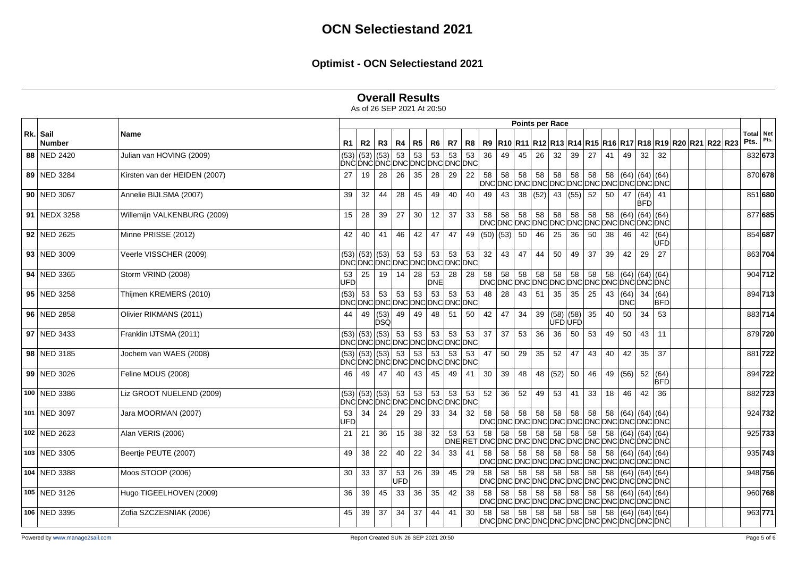|  | <b>Overall Results</b> |  |
|--|------------------------|--|
|--|------------------------|--|

|                           |                               |                  |                                                                                |             |           |    |                   |              |    |    |              | Points per Race    |                 |                              |    |         |    |                    |                                                                                                                             |                    |                                                                               |      |                   |
|---------------------------|-------------------------------|------------------|--------------------------------------------------------------------------------|-------------|-----------|----|-------------------|--------------|----|----|--------------|--------------------|-----------------|------------------------------|----|---------|----|--------------------|-----------------------------------------------------------------------------------------------------------------------------|--------------------|-------------------------------------------------------------------------------|------|-------------------|
| Rk. Sail<br><b>Number</b> | Name                          |                  | R1   R2   R3                                                                   |             | R4        |    | R5 R6             | R7           |    |    |              |                    |                 |                              |    |         |    |                    |                                                                                                                             |                    | R8   R9  R10  R11  R12  R13  R14  R15  R16  R17  R18  R19  R20  R21  R22  R23 | Pts. | Total Net<br>Pts. |
| 88 NED 2420               | Julian van HOVING (2009)      |                  | $(53)$ (53) (53) 53                                                            |             |           | 53 | 53                | 53           | 53 | 36 | 49           | 45                 | 26              | 32                           | 39 | 27      | 41 | 49                 | 32                                                                                                                          | 32                 |                                                                               |      | 832 673           |
|                           |                               |                  | DNCDNCDNCDNCDNCDNCDNCDNC                                                       |             |           |    |                   |              |    |    |              |                    |                 |                              |    |         |    |                    |                                                                                                                             |                    |                                                                               |      |                   |
| 89 NED 3284               | Kirsten van der HEIDEN (2007) | 27               | 19                                                                             | 28          | 26        | 35 | 28                | 29           | 22 |    |              |                    |                 |                              |    |         |    |                    |                                                                                                                             |                    |                                                                               |      | 870 678           |
| 90 NED 3067               | Annelie BIJLSMA (2007)        | 39               | 32                                                                             | 44          | 28        | 45 | 49                | 40           | 40 | 49 | 43           |                    |                 | 38 $(52)$ 43 $(55)$ 52       |    |         | 50 |                    | 47 $ (64) $ 41<br><b>BFD</b>                                                                                                |                    |                                                                               |      | 851 680           |
| 91 NEDX 3258              | Willemijn VALKENBURG (2009)   | 15               | 28                                                                             | 39          | 27        | 30 | 12                | 37           | 33 |    |              |                    |                 |                              |    |         |    |                    |                                                                                                                             |                    |                                                                               |      | 877 685           |
| 92 NED 2625               | Minne PRISSE (2012)           | 42               | 40                                                                             | 41          | 46        | 42 | 47                | 47           |    |    |              | 49 $ (50)(53) $ 50 |                 | 46 25                        | 36 | 50      | 38 | 46                 | 42 (64)                                                                                                                     | lùFĎ               |                                                                               |      | 854 687           |
| 93 NED 3009               | Veerle VISSCHER (2009)        |                  | (53)  (53)   (53)   53   53   53   53   53<br> DNC DNC DNC DNC DNC DNC DNC DNC |             |           |    |                   |              |    | 32 | $ 43\rangle$ | 47                 | 44              | 50                           | 49 | 37      | 39 | 42                 | 29                                                                                                                          | 27                 |                                                                               |      | 863 704           |
| 94 NED 3365               | Storm VRIND (2008)            | 53<br><b>UFD</b> | 25                                                                             | 19          | 14        | 28 | 53<br><b>DNE</b>  | 28           | 28 |    |              |                    |                 |                              |    |         |    |                    |                                                                                                                             |                    |                                                                               |      | 904 712           |
| 95 NED 3258               | Thijmen KREMERS (2010)        | (53)             | 53<br>DNCDNCDNCDNCDNCDNCDNCDNCDNC                                              | 53          | 53        | 53 | 53                | 53           | 53 | 48 | 28           | 43                 | 51              | 35                           | 35 | 25      | 43 | $(64)$ 34<br>IDNCI |                                                                                                                             | (64)<br><b>BFD</b> |                                                                               |      | 894 713           |
| 96 NED 2858               | Olivier RIKMANS (2011)        | 44               | 49                                                                             | (53)<br>DSQ | 49        | 49 | 48                | 51           | 50 | 42 | 47           | 34                 |                 | 39 (58)(58)<br><b>UFDUFD</b> |    | 35      | 40 | 50                 | $\overline{34}$                                                                                                             | 53                 |                                                                               |      | 883 714           |
| 97 NED 3433               | Franklin IJTSMA (2011)        |                  | $(53)$ (53) (53) 53<br>DNCDNCDNCDNCDNCDNCDNCDNC                                |             |           | 53 | 53                | 53           | 53 | 37 | 37           | 53                 | 36              | 36                           | 50 | 53      | 49 | 50                 | 43                                                                                                                          | 11                 |                                                                               |      | 879 720           |
| 98 NED 3185               | Jochem van WAES (2008)        |                  | $(53)$ (53) (53) 53<br>DNCDNCDNCDNCDNCDNCDNCDNC                                |             |           |    | $53 \mid 53 \mid$ | 53           | 53 | 47 | 50           | 29                 | 35              | 52                           | 47 | 43      | 40 | 42                 | 35                                                                                                                          | 37                 |                                                                               |      | 881 722           |
| 99 NED 3026               | Feline MOUS (2008)            | 46               | 49                                                                             | 47          | 40        | 43 | 45                | 49           | 41 | 30 | 39           | 48                 |                 | 48 $(52)$ 50                 |    | 46      |    |                    | 49 $(56) 52 (64)$                                                                                                           | <b>BFD</b>         |                                                                               |      | 894 722           |
| 100 NED 3386              | Liz GROOT NUELEND (2009)      |                  | $(53)$ (53) (53) 53<br>DNCDNCDNCDNCDNCDNCDNCDNC                                |             |           |    | 53 53             | 53           | 53 | 52 | 36           | 52                 | 49              | 53                           | 41 | 33      | 18 | 46                 | 42                                                                                                                          | 36                 |                                                                               |      | 882 723           |
| 101 NED 3097              | Jara MOORMAN (2007)           | 53<br>UFD        | 34                                                                             | 24          | 29        | 29 | 33                | 34           | 32 | 58 | 58           | 58                 | 58              | 58                           | 58 | 58      | 58 |                    | (64) (64) (64) <br>DNCDNCDNCDNCDNCDNCDNCDNCDNCDNCDNCDNC                                                                     |                    |                                                                               |      | 924 732           |
| 102 NED 2623              | Alan VERIS (2006)             | 21               | 21                                                                             | 36          | 15        | 38 | 32                | 53           | 53 | 58 | 58           | 58                 | 58              | 58                           | 58 | 58      | 58 |                    | $(64)$ (64) (64)<br>DNERETDNCDNCDNCDNCDNCDNCDNCDNCDNCDNCDNCDNCD                                                             |                    |                                                                               |      | 925 733           |
| 103 NED 3305              | Beertje PEUTE (2007)          | 49               | 38                                                                             | 22          | 40        | 22 | 34                | 33           | 41 | 58 | 58           | 58                 | 58 <sup>1</sup> | 58                           |    |         |    |                    | 58   58   58   (64)   (64)   (64)<br>DNCDNCDNCDNCDNCDNCDNCDNCDNCDNCDNCDNC                                                   |                    |                                                                               |      | 935 743           |
| 104 NED 3388              | Moos STOOP (2006)             | 30               | 33                                                                             | 37          | 53<br>UFD | 26 | 39                | $45 \mid 29$ |    | 58 | 58           | 58                 |                 | $58$ 58                      | 58 | $58$ 58 |    |                    | (64) (64) (64) <br>DNCDNCDNCDNCDNCDNCDNCDNCDNCDNCDNCDNC                                                                     |                    |                                                                               |      | 948 756           |
| $\overline{105}$ NED 3126 | Hugo TIGEELHOVEN (2009)       | 36               | 39                                                                             | 45          | 33        | 36 | 35                | 42           | 38 | 58 | 58           |                    |                 | $58$ 58 58                   |    |         |    |                    | $\boxed{58}$ $\boxed{58}$ $\boxed{58}$ $\boxed{(64)}$ $\boxed{(64)}$ $\boxed{(64)}$<br>DNCDNCDNCDNCDNCDNCDNCDNCDNCDNCDNCDNC |                    |                                                                               |      | 960 768           |
| 106 NED 3395              | Zofia SZCZESNIAK (2006)       | 45               | 39                                                                             | 37          | 34        | 37 | 44 41             |              | 30 | 58 | 58           | 58                 | 58              | 58                           |    |         |    |                    | 58   58   58   (64)   (64)   (64)<br>DNCDNCDNCDNCDNCDNCDNCDNCDNCDNCDNCDNC                                                   |                    |                                                                               |      | 963 771           |